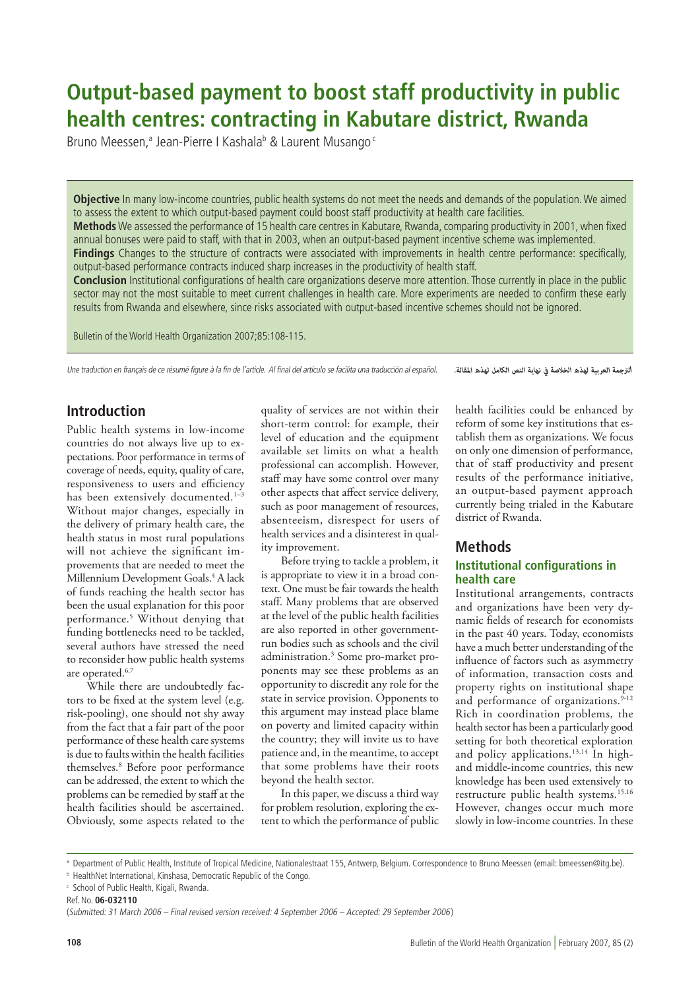# **Output-based payment to boost staff productivity in public health centres: contracting in Kabutare district, Rwanda**

Bruno Meessen,<sup>a</sup> Jean-Pierre I Kashala<sup>b</sup> & Laurent Musango<sup>c</sup>

**Objective** In many low-income countries, public health systems do not meet the needs and demands of the population. We aimed to assess the extent to which output-based payment could boost staff productivity at health care facilities.

**Methods** We assessed the performance of 15 health care centres in Kabutare, Rwanda, comparing productivity in 2001, when fixed annual bonuses were paid to staff, with that in 2003, when an output-based payment incentive scheme was implemented.

**Findings** Changes to the structure of contracts were associated with improvements in health centre performance: specifically, output-based performance contracts induced sharp increases in the productivity of health staff.

**Conclusion** Institutional configurations of health care organizations deserve more attention. Those currently in place in the public sector may not the most suitable to meet current challenges in health care. More experiments are needed to confirm these early results from Rwanda and elsewhere, since risks associated with output-based incentive schemes should not be ignored.

Bulletin of the World Health Organization 2007;85:108-115.

Une traduction en français de ce résumé figure à la fin de l'article. Al final del artículo se facilita una traducción al español. *.املقالة لهذه الكامل النص نهاية يف الخالصة لهذه العربية الرتجمة*

# **Introduction**

Public health systems in low-income countries do not always live up to expectations. Poor performance in terms of coverage of needs, equity, quality of care, responsiveness to users and efficiency has been extensively documented.<sup>1-3</sup> Without major changes, especially in the delivery of primary health care, the health status in most rural populations will not achieve the significant improvements that are needed to meet the Millennium Development Goals.<sup>4</sup> A lack of funds reaching the health sector has been the usual explanation for this poor performance.5 Without denying that funding bottlenecks need to be tackled, several authors have stressed the need to reconsider how public health systems are operated.6,7

While there are undoubtedly factors to be fixed at the system level (e.g. risk-pooling), one should not shy away from the fact that a fair part of the poor performance of these health care systems is due to faults within the health facilities themselves.8 Before poor performance can be addressed, the extent to which the problems can be remedied by staff at the health facilities should be ascertained. Obviously, some aspects related to the

quality of services are not within their short-term control: for example, their level of education and the equipment available set limits on what a health professional can accomplish. However, staff may have some control over many other aspects that affect service delivery, such as poor management of resources, absenteeism, disrespect for users of health services and a disinterest in quality improvement.

Before trying to tackle a problem, it is appropriate to view it in a broad context. One must be fair towards the health staff. Many problems that are observed at the level of the public health facilities are also reported in other governmentrun bodies such as schools and the civil administration.3 Some pro-market proponents may see these problems as an opportunity to discredit any role for the state in service provision. Opponents to this argument may instead place blame on poverty and limited capacity within the country; they will invite us to have patience and, in the meantime, to accept that some problems have their roots beyond the health sector.

In this paper, we discuss a third way for problem resolution, exploring the extent to which the performance of public health facilities could be enhanced by reform of some key institutions that establish them as organizations. We focus on only one dimension of performance, that of staff productivity and present results of the performance initiative, an output-based payment approach currently being trialed in the Kabutare district of Rwanda.

# **Methods**

# **Institutional configurations in health care**

Institutional arrangements, contracts and organizations have been very dynamic fields of research for economists in the past 40 years. Today, economists have a much better understanding of the influence of factors such as asymmetry of information, transaction costs and property rights on institutional shape and performance of organizations.<sup>9-12</sup> Rich in coordination problems, the health sector has been a particularly good setting for both theoretical exploration and policy applications.<sup>13,14</sup> In highand middle-income countries, this new knowledge has been used extensively to restructure public health systems.15,16 However, changes occur much more slowly in low-income countries. In these

a Department of Public Health, Institute of Tropical Medicine, Nationalestraat 155, Antwerp, Belgium. Correspondence to Bruno Meessen (email: bmeessen@itg.be).

**b** HealthNet International, Kinshasa, Democratic Republic of the Congo.

<sup>c</sup> School of Public Health, Kigali, Rwanda.

Ref. No. **06-032110**

<sup>(</sup>Submitted: 31 March 2006 – Final revised version received: 4 September 2006 – Accepted: 29 September 2006)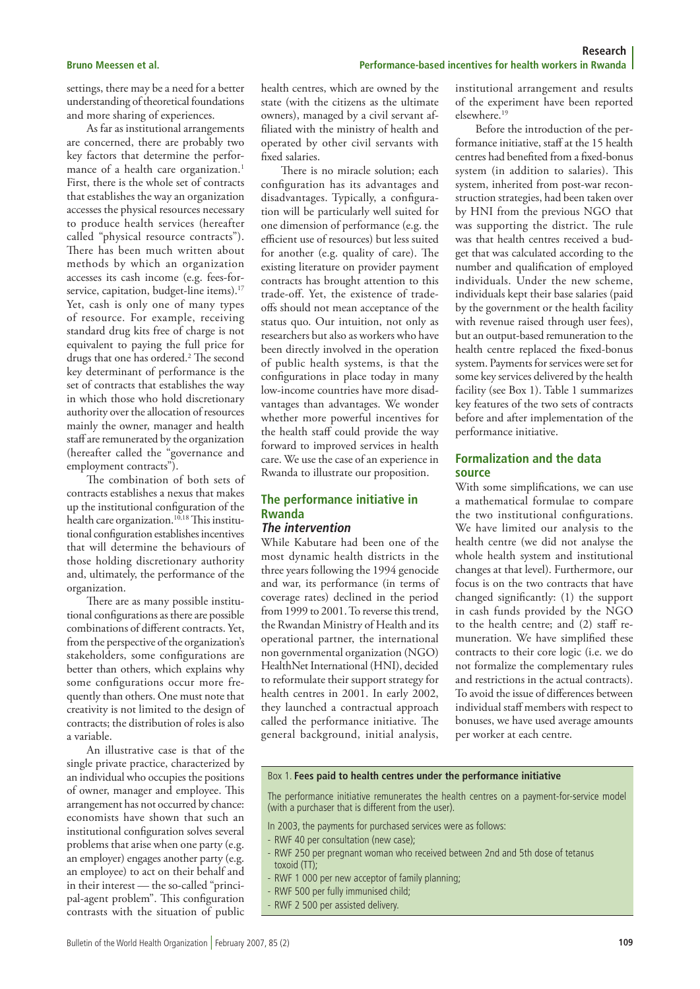settings, there may be a need for a better understanding of theoretical foundations and more sharing of experiences.

As far as institutional arrangements are concerned, there are probably two key factors that determine the performance of a health care organization.<sup>1</sup> First, there is the whole set of contracts that establishes the way an organization accesses the physical resources necessary to produce health services (hereafter called "physical resource contracts"). There has been much written about methods by which an organization accesses its cash income (e.g. fees-forservice, capitation, budget-line items).<sup>17</sup> Yet, cash is only one of many types of resource. For example, receiving standard drug kits free of charge is not equivalent to paying the full price for drugs that one has ordered.2 The second key determinant of performance is the set of contracts that establishes the way in which those who hold discretionary authority over the allocation of resources mainly the owner, manager and health staff are remunerated by the organization (hereafter called the "governance and employment contracts").

The combination of both sets of contracts establishes a nexus that makes up the institutional configuration of the health care organization.<sup>10,18</sup> This institutional configuration establishes incentives that will determine the behaviours of those holding discretionary authority and, ultimately, the performance of the organization.

There are as many possible institutional configurations as there are possible combinations of different contracts. Yet, from the perspective of the organization's stakeholders, some configurations are better than others, which explains why some configurations occur more frequently than others. One must note that creativity is not limited to the design of contracts; the distribution of roles is also a variable.

An illustrative case is that of the single private practice, characterized by an individual who occupies the positions of owner, manager and employee. This arrangement has not occurred by chance: economists have shown that such an institutional configuration solves several problems that arise when one party (e.g. an employer) engages another party (e.g. an employee) to act on their behalf and in their interest — the so-called "principal-agent problem". This configuration contrasts with the situation of public

health centres, which are owned by the state (with the citizens as the ultimate owners), managed by a civil servant affiliated with the ministry of health and operated by other civil servants with fixed salaries.

There is no miracle solution; each configuration has its advantages and disadvantages. Typically, a configuration will be particularly well suited for one dimension of performance (e.g. the efficient use of resources) but less suited for another (e.g. quality of care). The existing literature on provider payment contracts has brought attention to this trade-off. Yet, the existence of tradeoffs should not mean acceptance of the status quo. Our intuition, not only as researchers but also as workers who have been directly involved in the operation of public health systems, is that the configurations in place today in many low-income countries have more disadvantages than advantages. We wonder whether more powerful incentives for the health staff could provide the way forward to improved services in health care. We use the case of an experience in Rwanda to illustrate our proposition.

### **The performance initiative in Rwanda The intervention**

While Kabutare had been one of the most dynamic health districts in the three years following the 1994 genocide and war, its performance (in terms of coverage rates) declined in the period from 1999 to 2001. To reverse this trend, the Rwandan Ministry of Health and its operational partner, the international non governmental organization (NGO) HealthNet International (HNI), decided to reformulate their support strategy for health centres in 2001. In early 2002, they launched a contractual approach called the performance initiative. The general background, initial analysis,

institutional arrangement and results of the experiment have been reported elsewhere.19

Before the introduction of the performance initiative, staff at the 15 health centres had benefited from a fixed-bonus system (in addition to salaries). This system, inherited from post-war reconstruction strategies, had been taken over by HNI from the previous NGO that was supporting the district. The rule was that health centres received a budget that was calculated according to the number and qualification of employed individuals. Under the new scheme, individuals kept their base salaries (paid by the government or the health facility with revenue raised through user fees), but an output-based remuneration to the health centre replaced the fixed-bonus system. Payments for services were set for some key services delivered by the health facility (see Box 1). Table 1 summarizes key features of the two sets of contracts before and after implementation of the performance initiative.

# **Formalization and the data source**

With some simplifications, we can use a mathematical formulae to compare the two institutional configurations. We have limited our analysis to the health centre (we did not analyse the whole health system and institutional changes at that level). Furthermore, our focus is on the two contracts that have changed significantly: (1) the support in cash funds provided by the NGO to the health centre; and (2) staff remuneration. We have simplified these contracts to their core logic (i.e. we do not formalize the complementary rules and restrictions in the actual contracts). To avoid the issue of differences between individual staff members with respect to bonuses, we have used average amounts per worker at each centre.

#### Box 1. **Fees paid to health centres under the performance initiative**

The performance initiative remunerates the health centres on a payment-for-service model (with a purchaser that is different from the user).

- In 2003, the payments for purchased services were as follows:
- RWF 40 per consultation (new case);
- RWF 250 per pregnant woman who received between 2nd and 5th dose of tetanus toxoid (TT);
- RWF 1 000 per new acceptor of family planning;
- RWF 500 per fully immunised child;
- RWF 2 500 per assisted delivery.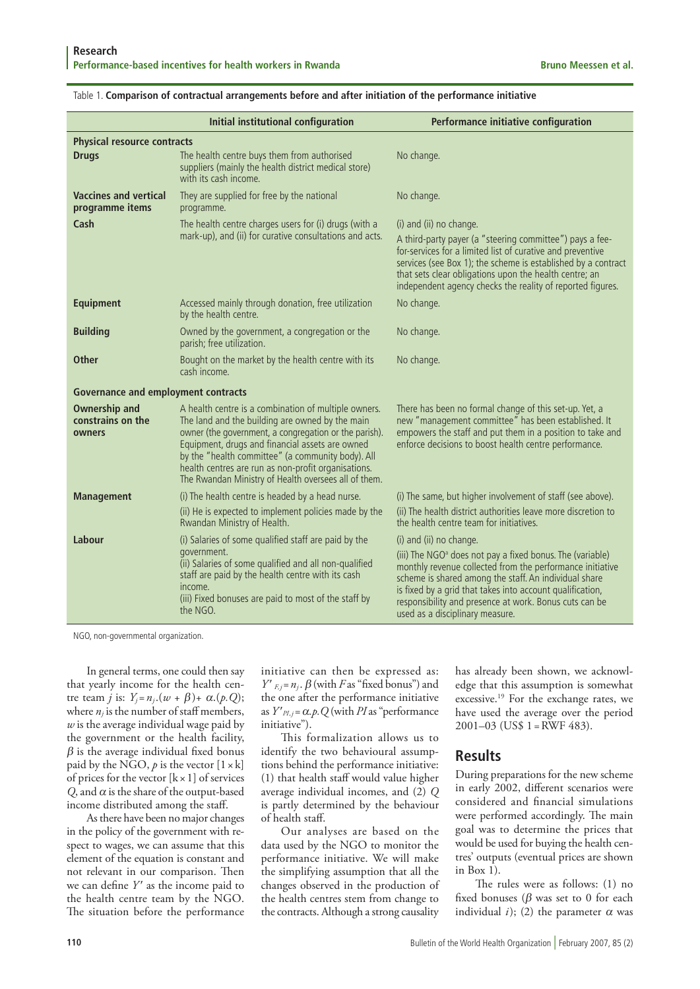|                                                     | Initial institutional configuration                                                                                                                                                                                                                                                                                                                                                     | Performance initiative configuration                                                                                                                                                                                                                                                                                                                                             |  |  |  |  |  |  |
|-----------------------------------------------------|-----------------------------------------------------------------------------------------------------------------------------------------------------------------------------------------------------------------------------------------------------------------------------------------------------------------------------------------------------------------------------------------|----------------------------------------------------------------------------------------------------------------------------------------------------------------------------------------------------------------------------------------------------------------------------------------------------------------------------------------------------------------------------------|--|--|--|--|--|--|
| <b>Physical resource contracts</b>                  |                                                                                                                                                                                                                                                                                                                                                                                         |                                                                                                                                                                                                                                                                                                                                                                                  |  |  |  |  |  |  |
| <b>Drugs</b>                                        | The health centre buys them from authorised<br>suppliers (mainly the health district medical store)<br>with its cash income.                                                                                                                                                                                                                                                            | No change.                                                                                                                                                                                                                                                                                                                                                                       |  |  |  |  |  |  |
| <b>Vaccines and vertical</b><br>programme items     | They are supplied for free by the national<br>programme.                                                                                                                                                                                                                                                                                                                                | No change.                                                                                                                                                                                                                                                                                                                                                                       |  |  |  |  |  |  |
| Cash                                                | The health centre charges users for (i) drugs (with a<br>mark-up), and (ii) for curative consultations and acts.                                                                                                                                                                                                                                                                        | (i) and (ii) no change.<br>A third-party payer (a "steering committee") pays a fee-<br>for-services for a limited list of curative and preventive<br>services (see Box 1); the scheme is established by a contract<br>that sets clear obligations upon the health centre; an<br>independent agency checks the reality of reported figures.                                       |  |  |  |  |  |  |
| <b>Equipment</b>                                    | Accessed mainly through donation, free utilization<br>by the health centre.                                                                                                                                                                                                                                                                                                             | No change.                                                                                                                                                                                                                                                                                                                                                                       |  |  |  |  |  |  |
| <b>Building</b>                                     | Owned by the government, a congregation or the<br>parish; free utilization.                                                                                                                                                                                                                                                                                                             | No change.                                                                                                                                                                                                                                                                                                                                                                       |  |  |  |  |  |  |
| <b>Other</b>                                        | Bought on the market by the health centre with its<br>cash income.                                                                                                                                                                                                                                                                                                                      | No change.                                                                                                                                                                                                                                                                                                                                                                       |  |  |  |  |  |  |
| <b>Governance and employment contracts</b>          |                                                                                                                                                                                                                                                                                                                                                                                         |                                                                                                                                                                                                                                                                                                                                                                                  |  |  |  |  |  |  |
| <b>Ownership and</b><br>constrains on the<br>owners | A health centre is a combination of multiple owners.<br>The land and the building are owned by the main<br>owner (the government, a congregation or the parish).<br>Equipment, drugs and financial assets are owned<br>by the "health committee" (a community body). All<br>health centres are run as non-profit organisations.<br>The Rwandan Ministry of Health oversees all of them. | There has been no formal change of this set-up. Yet, a<br>new "management committee" has been established. It<br>empowers the staff and put them in a position to take and<br>enforce decisions to boost health centre performance.                                                                                                                                              |  |  |  |  |  |  |
| <b>Management</b>                                   | (i) The health centre is headed by a head nurse.                                                                                                                                                                                                                                                                                                                                        | (i) The same, but higher involvement of staff (see above).                                                                                                                                                                                                                                                                                                                       |  |  |  |  |  |  |
|                                                     | (ii) He is expected to implement policies made by the<br>Rwandan Ministry of Health.                                                                                                                                                                                                                                                                                                    | (ii) The health district authorities leave more discretion to<br>the health centre team for initiatives.                                                                                                                                                                                                                                                                         |  |  |  |  |  |  |
| Labour                                              | (i) Salaries of some qualified staff are paid by the<br>government.<br>(ii) Salaries of some qualified and all non-qualified<br>staff are paid by the health centre with its cash<br>income.<br>(iii) Fixed bonuses are paid to most of the staff by<br>the NGO.                                                                                                                        | (i) and (ii) no change.<br>(iii) The NGO <sup>a</sup> does not pay a fixed bonus. The (variable)<br>monthly revenue collected from the performance initiative<br>scheme is shared among the staff. An individual share<br>is fixed by a grid that takes into account qualification,<br>responsibility and presence at work. Bonus cuts can be<br>used as a disciplinary measure. |  |  |  |  |  |  |

#### Table 1. **Comparison of contractual arrangements before and after initiation of the performance initiative**

NGO, non-governmental organization.

In general terms, one could then say that yearly income for the health centre team *j* is:  $Y_i = n_i$ . $(w + \beta) + \alpha$ . $(p, Q)$ ; where  $n_j$  is the number of staff members, *w* is the average individual wage paid by the government or the health facility,  $\beta$  is the average individual fixed bonus paid by the NGO,  $p$  is the vector  $[1 \times k]$ of prices for the vector  $[k \times 1]$  of services  $Q$ , and  $\alpha$  is the share of the output-based income distributed among the staff.

As there have been no major changes in the policy of the government with respect to wages, we can assume that this element of the equation is constant and not relevant in our comparison. Then we can define *Y* ′ as the income paid to the health centre team by the NGO. The situation before the performance

initiative can then be expressed as:  $Y'_{F,j} = n_j \cdot \beta$  (with *F* as "fixed bonus") and the one after the performance initiative as  $Y'_{PI,j} = \alpha.p$ . Q (with *PI* as "performance" initiative").

This formalization allows us to identify the two behavioural assumptions behind the performance initiative: (1) that health staff would value higher average individual incomes, and (2) *Q* is partly determined by the behaviour of health staff.

Our analyses are based on the data used by the NGO to monitor the performance initiative. We will make the simplifying assumption that all the changes observed in the production of the health centres stem from change to the contracts. Although a strong causality

has already been shown, we acknowledge that this assumption is somewhat excessive.19 For the exchange rates, we have used the average over the period 2001–03 (US\$ 1 =RWF 483).

# **Results**

During preparations for the new scheme in early 2002, different scenarios were considered and financial simulations were performed accordingly. The main goal was to determine the prices that would be used for buying the health centres' outputs (eventual prices are shown in Box 1).

The rules were as follows: (1) no fixed bonuses ( $\beta$  was set to 0 for each individual *i*); (2) the parameter  $\alpha$  was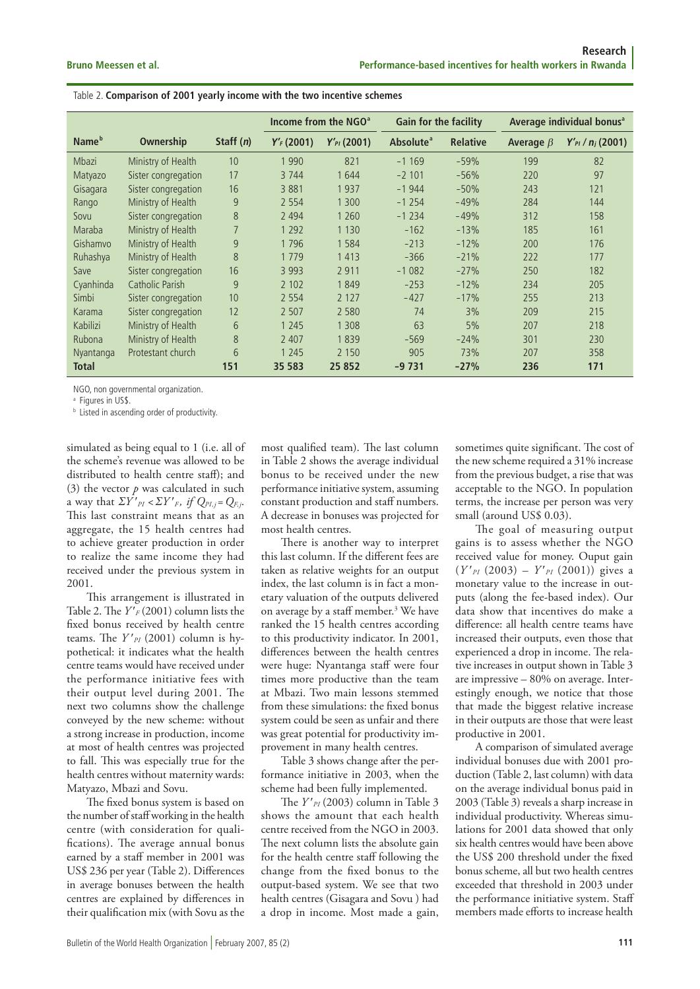| Table 2. Comparison of 2001 yearly income with the two incentive schemes |  |  |  |  |  |  |
|--------------------------------------------------------------------------|--|--|--|--|--|--|
|--------------------------------------------------------------------------|--|--|--|--|--|--|

|                   |                        |             | Income from the NGO <sup>a</sup> |                  | <b>Gain for the facility</b> |                 | Average individual bonus <sup>a</sup> |                          |
|-------------------|------------------------|-------------|----------------------------------|------------------|------------------------------|-----------------|---------------------------------------|--------------------------|
| Name <sup>b</sup> | Ownership              | Staff $(n)$ | $Y'_F(2001)$                     | $Y'_{Pl}$ (2001) | Absolute <sup>a</sup>        | <b>Relative</b> | Average $\beta$                       | $Y'_{Pl}$ / $n_j$ (2001) |
| Mbazi             | Ministry of Health     | 10          | 1990                             | 821              | $-1169$                      | $-59%$          | 199                                   | 82                       |
| Matyazo           | Sister congregation    | 17          | 3744                             | 1644             | $-2101$                      | $-56%$          | 220                                   | 97                       |
| Gisagara          | Sister congregation    | 16          | 3881                             | 1937             | $-1944$                      | $-50%$          | 243                                   | 121                      |
| Rango             | Ministry of Health     | 9           | 2 5 5 4                          | 1 3 0 0          | $-1254$                      | $-49%$          | 284                                   | 144                      |
| Sovu              | Sister congregation    | 8           | 2 4 9 4                          | 1 2 6 0          | $-1234$                      | $-49%$          | 312                                   | 158                      |
| Maraba            | Ministry of Health     | 7           | 1 2 9 2                          | 1 1 3 0          | $-162$                       | $-13%$          | 185                                   | 161                      |
| Gishamvo          | Ministry of Health     | 9           | 1796                             | 1584             | $-213$                       | $-12%$          | 200                                   | 176                      |
| Ruhashya          | Ministry of Health     | 8           | 1779                             | 1413             | $-366$                       | $-21%$          | 222                                   | 177                      |
| Save              | Sister congregation    | 16          | 3 9 9 3                          | 2911             | $-1082$                      | $-27%$          | 250                                   | 182                      |
| Cyanhinda         | <b>Catholic Parish</b> | 9           | 2 1 0 2                          | 1849             | $-253$                       | $-12%$          | 234                                   | 205                      |
| Simbi             | Sister congregation    | 10          | 2 5 5 4                          | 2 1 2 7          | $-427$                       | $-17%$          | 255                                   | 213                      |
| Karama            | Sister congregation    | 12          | 2 5 0 7                          | 2 5 8 0          | 74                           | 3%              | 209                                   | 215                      |
| Kabilizi          | Ministry of Health     | 6           | 1 2 4 5                          | 1 3 0 8          | 63                           | 5%              | 207                                   | 218                      |
| Rubona            | Ministry of Health     | 8           | 2 4 0 7                          | 1839             | $-569$                       | $-24%$          | 301                                   | 230                      |
| Nyantanga         | Protestant church      | 6           | 1 2 4 5                          | 2 1 5 0          | 905                          | 73%             | 207                                   | 358                      |
| <b>Total</b>      |                        | 151         | 35 583                           | 25 852           | $-9731$                      | $-27%$          | 236                                   | 171                      |

NGO, non governmental organization.

<sup>a</sup> Figures in US\$.

**b** Listed in ascending order of productivity.

simulated as being equal to 1 (i.e. all of the scheme's revenue was allowed to be distributed to health centre staff); and (3) the vector  $p$  was calculated in such a way that  $\Sigma Y'_{PI} < \Sigma Y'_{F}$ , if  $Q_{PI,j} = Q_{F,j}$ . This last constraint means that as an aggregate, the 15 health centres had to achieve greater production in order to realize the same income they had received under the previous system in 2001.

This arrangement is illustrated in Table 2. The  $Y'_{F}$  (2001) column lists the fixed bonus received by health centre teams. The  $Y'_{PI}$  (2001) column is hypothetical: it indicates what the health centre teams would have received under the performance initiative fees with their output level during 2001. The next two columns show the challenge conveyed by the new scheme: without a strong increase in production, income at most of health centres was projected to fall. This was especially true for the health centres without maternity wards: Matyazo, Mbazi and Sovu.

The fixed bonus system is based on the number of staff working in the health centre (with consideration for qualifications). The average annual bonus earned by a staff member in 2001 was US\$ 236 per year (Table 2). Differences in average bonuses between the health centres are explained by differences in their qualification mix (with Sovu as the

most qualified team). The last column in Table 2 shows the average individual bonus to be received under the new performance initiative system, assuming constant production and staff numbers. A decrease in bonuses was projected for most health centres.

There is another way to interpret this last column. If the different fees are taken as relative weights for an output index, the last column is in fact a monetary valuation of the outputs delivered on average by a staff member.<sup>3</sup> We have ranked the 15 health centres according to this productivity indicator. In 2001, differences between the health centres were huge: Nyantanga staff were four times more productive than the team at Mbazi. Two main lessons stemmed from these simulations: the fixed bonus system could be seen as unfair and there was great potential for productivity improvement in many health centres.

Table 3 shows change after the performance initiative in 2003, when the scheme had been fully implemented.

The *Y* ′*PI* (2003) column in Table 3 shows the amount that each health centre received from the NGO in 2003. The next column lists the absolute gain for the health centre staff following the change from the fixed bonus to the output-based system. We see that two health centres (Gisagara and Sovu ) had a drop in income. Most made a gain, sometimes quite significant. The cost of the new scheme required a 31% increase from the previous budget, a rise that was acceptable to the NGO. In population terms, the increase per person was very small (around US\$ 0.03).

The goal of measuring output gains is to assess whether the NGO received value for money. Ouput gain  $(Y'_{PI} (2003) - Y'_{PI} (2001))$  gives a monetary value to the increase in outputs (along the fee-based index). Our data show that incentives do make a difference: all health centre teams have increased their outputs, even those that experienced a drop in income. The relative increases in output shown in Table 3 are impressive – 80% on average. Interestingly enough, we notice that those that made the biggest relative increase in their outputs are those that were least productive in 2001.

A comparison of simulated average individual bonuses due with 2001 production (Table 2, last column) with data on the average individual bonus paid in 2003 (Table 3) reveals a sharp increase in individual productivity. Whereas simulations for 2001 data showed that only six health centres would have been above the US\$ 200 threshold under the fixed bonus scheme, all but two health centres exceeded that threshold in 2003 under the performance initiative system. Staff members made efforts to increase health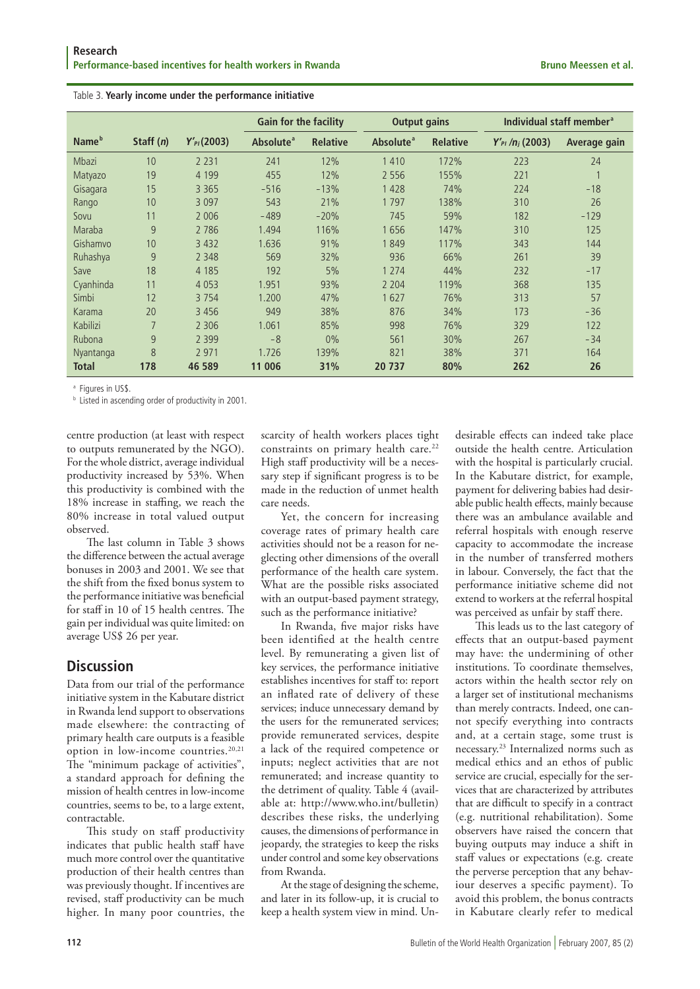|                   |             |                  | <b>Gain for the facility</b> |                 | <b>Output gains</b>   |                 | Individual staff member <sup>a</sup> |              |
|-------------------|-------------|------------------|------------------------------|-----------------|-----------------------|-----------------|--------------------------------------|--------------|
| Name <sup>b</sup> | Staff $(n)$ | $Y'_{Pl}$ (2003) | Absolute <sup>a</sup>        | <b>Relative</b> | Absolute <sup>a</sup> | <b>Relative</b> | $Y'_{Pl}$ /n <sub>i</sub> (2003)     | Average gain |
| <b>Mbazi</b>      | 10          | 2 2 3 1          | 241                          | 12%             | 1410                  | 172%            | 223                                  | 24           |
| Matyazo           | 19          | 4 1 9 9          | 455                          | 12%             | 2 5 5 6               | 155%            | 221                                  |              |
| Gisagara          | 15          | 3 3 6 5          | $-516$                       | $-13%$          | 1 4 2 8               | 74%             | 224                                  | $-18$        |
| Rango             | 10          | 3 0 9 7          | 543                          | 21%             | 1797                  | 138%            | 310                                  | 26           |
| Sovu              | 11          | 2 0 0 6          | $-489$                       | $-20%$          | 745                   | 59%             | 182                                  | $-129$       |
| Maraba            | 9           | 2 7 8 6          | 1.494                        | 116%            | 1656                  | 147%            | 310                                  | 125          |
| Gishamvo          | 10          | 3 4 3 2          | 1.636                        | 91%             | 1849                  | 117%            | 343                                  | 144          |
| Ruhashya          | 9           | 2 3 4 8          | 569                          | 32%             | 936                   | 66%             | 261                                  | 39           |
| Save              | 18          | 4 1 8 5          | 192                          | 5%              | 1 2 7 4               | 44%             | 232                                  | $-17$        |
| Cyanhinda         | 11          | 4 0 5 3          | 1.951                        | 93%             | 2 2 0 4               | 119%            | 368                                  | 135          |
| Simbi             | 12          | 3 7 5 4          | 1.200                        | 47%             | 1627                  | 76%             | 313                                  | 57           |
| Karama            | 20          | 3 4 5 6          | 949                          | 38%             | 876                   | 34%             | 173                                  | $-36$        |
| Kabilizi          | 7           | 2 3 0 6          | 1.061                        | 85%             | 998                   | 76%             | 329                                  | 122          |
| Rubona            | 9           | 2 3 9 9          | $-8$                         | 0%              | 561                   | 30%             | 267                                  | $-34$        |
| Nyantanga         | 8           | 2 9 7 1          | 1.726                        | 139%            | 821                   | 38%             | 371                                  | 164          |
| <b>Total</b>      | 178         | 46 589           | 11 006                       | 31%             | 20 737                | 80%             | 262                                  | 26           |

#### Table 3. **Yearly income under the performance initiative**

<sup>a</sup> Figures in US\$.

**b** Listed in ascending order of productivity in 2001.

centre production (at least with respect to outputs remunerated by the NGO). For the whole district, average individual productivity increased by 53%. When this productivity is combined with the 18% increase in staffing, we reach the 80% increase in total valued output observed.

The last column in Table 3 shows the difference between the actual average bonuses in 2003 and 2001. We see that the shift from the fixed bonus system to the performance initiative was beneficial for staff in 10 of 15 health centres. The gain per individual was quite limited: on average US\$ 26 per year.

# **Discussion**

Data from our trial of the performance initiative system in the Kabutare district in Rwanda lend support to observations made elsewhere: the contracting of primary health care outputs is a feasible option in low-income countries.<sup>20,21</sup> The "minimum package of activities", a standard approach for defining the mission of health centres in low-income countries, seems to be, to a large extent, contractable.

This study on staff productivity indicates that public health staff have much more control over the quantitative production of their health centres than was previously thought. If incentives are revised, staff productivity can be much higher. In many poor countries, the

scarcity of health workers places tight constraints on primary health care.<sup>22</sup> High staff productivity will be a necessary step if significant progress is to be made in the reduction of unmet health care needs.

Yet, the concern for increasing coverage rates of primary health care activities should not be a reason for neglecting other dimensions of the overall performance of the health care system. What are the possible risks associated with an output-based payment strategy, such as the performance initiative?

In Rwanda, five major risks have been identified at the health centre level. By remunerating a given list of key services, the performance initiative establishes incentives for staff to: report an inflated rate of delivery of these services; induce unnecessary demand by the users for the remunerated services; provide remunerated services, despite a lack of the required competence or inputs; neglect activities that are not remunerated; and increase quantity to the detriment of quality. Table 4 (available at: http://www.who.int/bulletin) describes these risks, the underlying causes, the dimensions of performance in jeopardy, the strategies to keep the risks under control and some key observations from Rwanda.

At the stage of designing the scheme, and later in its follow-up, it is crucial to keep a health system view in mind. Undesirable effects can indeed take place outside the health centre. Articulation with the hospital is particularly crucial. In the Kabutare district, for example, payment for delivering babies had desirable public health effects, mainly because there was an ambulance available and referral hospitals with enough reserve capacity to accommodate the increase in the number of transferred mothers in labour. Conversely, the fact that the performance initiative scheme did not extend to workers at the referral hospital was perceived as unfair by staff there.

This leads us to the last category of effects that an output-based payment may have: the undermining of other institutions. To coordinate themselves, actors within the health sector rely on a larger set of institutional mechanisms than merely contracts. Indeed, one cannot specify everything into contracts and, at a certain stage, some trust is necessary.23 Internalized norms such as medical ethics and an ethos of public service are crucial, especially for the services that are characterized by attributes that are difficult to specify in a contract (e.g. nutritional rehabilitation). Some observers have raised the concern that buying outputs may induce a shift in staff values or expectations (e.g. create the perverse perception that any behaviour deserves a specific payment). To avoid this problem, the bonus contracts in Kabutare clearly refer to medical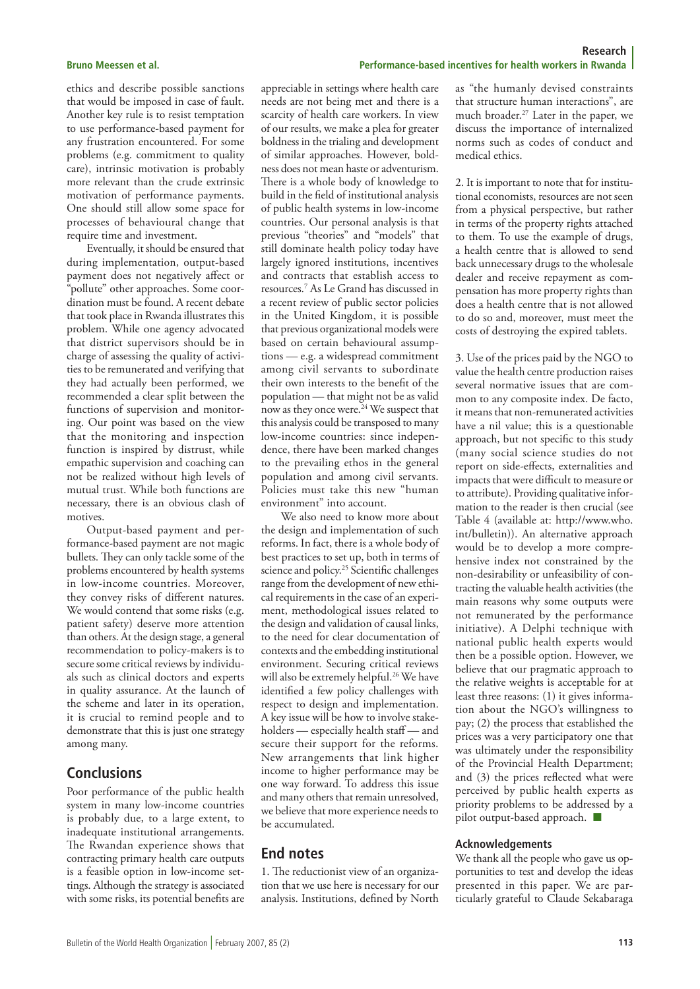ethics and describe possible sanctions that would be imposed in case of fault. Another key rule is to resist temptation to use performance-based payment for any frustration encountered. For some problems (e.g. commitment to quality care), intrinsic motivation is probably more relevant than the crude extrinsic motivation of performance payments. One should still allow some space for processes of behavioural change that require time and investment.

Eventually, it should be ensured that during implementation, output-based payment does not negatively affect or "pollute" other approaches. Some coordination must be found. A recent debate that took place in Rwanda illustrates this problem. While one agency advocated that district supervisors should be in charge of assessing the quality of activities to be remunerated and verifying that they had actually been performed, we recommended a clear split between the functions of supervision and monitoring. Our point was based on the view that the monitoring and inspection function is inspired by distrust, while empathic supervision and coaching can not be realized without high levels of mutual trust. While both functions are necessary, there is an obvious clash of motives.

Output-based payment and performance-based payment are not magic bullets. They can only tackle some of the problems encountered by health systems in low-income countries. Moreover, they convey risks of different natures. We would contend that some risks (e.g. patient safety) deserve more attention than others. At the design stage, a general recommendation to policy-makers is to secure some critical reviews by individuals such as clinical doctors and experts in quality assurance. At the launch of the scheme and later in its operation, it is crucial to remind people and to demonstrate that this is just one strategy among many.

# **Conclusions**

Poor performance of the public health system in many low-income countries is probably due, to a large extent, to inadequate institutional arrangements. The Rwandan experience shows that contracting primary health care outputs is a feasible option in low-income settings. Although the strategy is associated with some risks, its potential benefits are

appreciable in settings where health care needs are not being met and there is a scarcity of health care workers. In view of our results, we make a plea for greater boldness in the trialing and development of similar approaches. However, boldness does not mean haste or adventurism. There is a whole body of knowledge to build in the field of institutional analysis of public health systems in low-income countries. Our personal analysis is that previous "theories" and "models" that still dominate health policy today have largely ignored institutions, incentives and contracts that establish access to resources.7 As Le Grand has discussed in a recent review of public sector policies in the United Kingdom, it is possible that previous organizational models were based on certain behavioural assumptions — e.g. a widespread commitment among civil servants to subordinate their own interests to the benefit of the population — that might not be as valid now as they once were.<sup>24</sup> We suspect that this analysis could be transposed to many low-income countries: since independence, there have been marked changes to the prevailing ethos in the general population and among civil servants. Policies must take this new "human environment" into account.

We also need to know more about the design and implementation of such reforms. In fact, there is a whole body of best practices to set up, both in terms of science and policy.<sup>25</sup> Scientific challenges range from the development of new ethical requirements in the case of an experiment, methodological issues related to the design and validation of causal links, to the need for clear documentation of contexts and the embedding institutional environment. Securing critical reviews will also be extremely helpful.<sup>26</sup> We have identified a few policy challenges with respect to design and implementation. A key issue will be how to involve stakeholders — especially health staff — and secure their support for the reforms. New arrangements that link higher income to higher performance may be one way forward. To address this issue and many others that remain unresolved, we believe that more experience needs to be accumulated.

# **End notes**

1. The reductionist view of an organization that we use here is necessary for our analysis. Institutions, defined by North

**Research Bruno Meessen et al. Performance-based incentives for health workers in Rwanda** 

> as "the humanly devised constraints that structure human interactions", are much broader.27 Later in the paper, we discuss the importance of internalized norms such as codes of conduct and medical ethics.

> 2. It is important to note that for institutional economists, resources are not seen from a physical perspective, but rather in terms of the property rights attached to them. To use the example of drugs, a health centre that is allowed to send back unnecessary drugs to the wholesale dealer and receive repayment as compensation has more property rights than does a health centre that is not allowed to do so and, moreover, must meet the costs of destroying the expired tablets.

> 3. Use of the prices paid by the NGO to value the health centre production raises several normative issues that are common to any composite index. De facto, it means that non-remunerated activities have a nil value; this is a questionable approach, but not specific to this study (many social science studies do not report on side-effects, externalities and impacts that were difficult to measure or to attribute). Providing qualitative information to the reader is then crucial (see Table 4 (available at: http://www.who. int/bulletin)). An alternative approach would be to develop a more comprehensive index not constrained by the non-desirability or unfeasibility of contracting the valuable health activities (the main reasons why some outputs were not remunerated by the performance initiative). A Delphi technique with national public health experts would then be a possible option. However, we believe that our pragmatic approach to the relative weights is acceptable for at least three reasons: (1) it gives information about the NGO's willingness to pay; (2) the process that established the prices was a very participatory one that was ultimately under the responsibility of the Provincial Health Department; and (3) the prices reflected what were perceived by public health experts as priority problems to be addressed by a pilot output-based approach.  $\blacksquare$

### **Acknowledgements**

We thank all the people who gave us opportunities to test and develop the ideas presented in this paper. We are particularly grateful to Claude Sekabaraga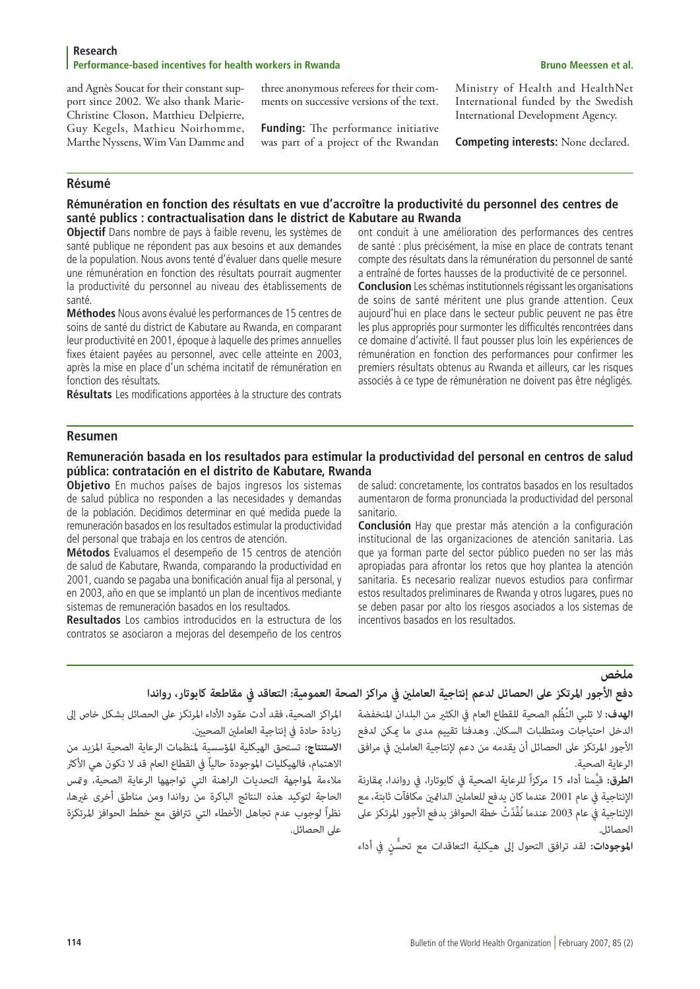and Agnès Soucat for their constant support since 2002. We also thank Marie-Christine Closon, Matthieu Delpierre, Guy Kegels, Mathieu Noirhomme, Marthe Nyssens, Wim Van Damme and three anonymous referees for their comments on successive versions of the text.

**Funding:** The performance initiative was part of a project of the Rwandan Ministry of Health and HealthNet International funded by the Swedish International Development Agency.

**Competing interests:** None declared.

# **Résumé**

# **Rémunération en fonction des résultats en vue d'accroître la productivité du personnel des centres de santé publics : contractualisation dans le district de Kabutare au Rwanda**

**Objectif** Dans nombre de pays à faible revenu, les systèmes de santé publique ne répondent pas aux besoins et aux demandes de la population. Nous avons tenté d'évaluer dans quelle mesure une rémunération en fonction des résultats pourrait augmenter la productivité du personnel au niveau des établissements de santé.

**Méthodes** Nous avons évalué les performances de 15 centres de soins de santé du district de Kabutare au Rwanda, en comparant leur productivité en 2001, époque à laquelle des primes annuelles fixes étaient payées au personnel, avec celle atteinte en 2003, après la mise en place d'un schéma incitatif de rémunération en fonction des résultats.

**Résultats** Les modifications apportées à la structure des contrats

ont conduit à une amélioration des performances des centres de santé : plus précisément, la mise en place de contrats tenant compte des résultats dans la rémunération du personnel de santé a entraîné de fortes hausses de la productivité de ce personnel. **Conclusion** Les schémas institutionnels régissant les organisations de soins de santé méritent une plus grande attention. Ceux aujourd'hui en place dans le secteur public peuvent ne pas être les plus appropriés pour surmonter les difficultés rencontrées dans ce domaine d'activité. Il faut pousser plus loin les expériences de rémunération en fonction des performances pour confirmer les

premiers résultats obtenus au Rwanda et ailleurs, car les risques associés à ce type de rémunération ne doivent pas être négligés.

# **Resumen**

# **Remuneración basada en los resultados para estimular la productividad del personal en centros de salud pública: contratación en el distrito de Kabutare, Rwanda**

**Objetivo** En muchos países de bajos ingresos los sistemas de salud pública no responden a las necesidades y demandas de la población. Decidimos determinar en qué medida puede la remuneración basados en los resultados estimular la productividad del personal que trabaja en los centros de atención.

**Métodos** Evaluamos el desempeño de 15 centros de atención de salud de Kabutare, Rwanda, comparando la productividad en 2001, cuando se pagaba una bonificación anual fija al personal, y en 2003, año en que se implantó un plan de incentivos mediante sistemas de remuneración basados en los resultados.

**Resultados** Los cambios introducidos en la estructura de los contratos se asociaron a mejoras del desempeño de los centros de salud: concretamente, los contratos basados en los resultados aumentaron de forma pronunciada la productividad del personal sanitario.

**Conclusión** Hay que prestar más atención a la configuración institucional de las organizaciones de atención sanitaria. Las que ya forman parte del sector público pueden no ser las más apropiadas para afrontar los retos que hoy plantea la atención sanitaria. Es necesario realizar nuevos estudios para confirmar estos resultados preliminares de Rwanda y otros lugares, pues no se deben pasar por alto los riesgos asociados a los sistemas de incentivos basados en los resultados.

**ملخص**<br>دفع الأجور ال**مرتكز على الحصائل لدعم إنتاجية العاملين في مراكز الصحة العمومية: التعاقد في مقاطعة كا<b>بوتار، رواندا**<br>الهدف: لا تلبي النُظُم الصحية للقطاع العام في الكثير من البلدان المنخفضة للمراكز الصحية، فقد أدت عق المراكز الصحية، فقد أدت عقود الأداء المرتكز على الحصائل بشكل خاص إلى<br>زيادة حادة في إنتاجية العاملين الصحيين.<br>الاهتمام، فالهيكليات الموجودة حالياً في القطاع العام قد لا تكون هي الأكثر<br>الاهتمام، فالهيكليات الموجودة حالياً ف